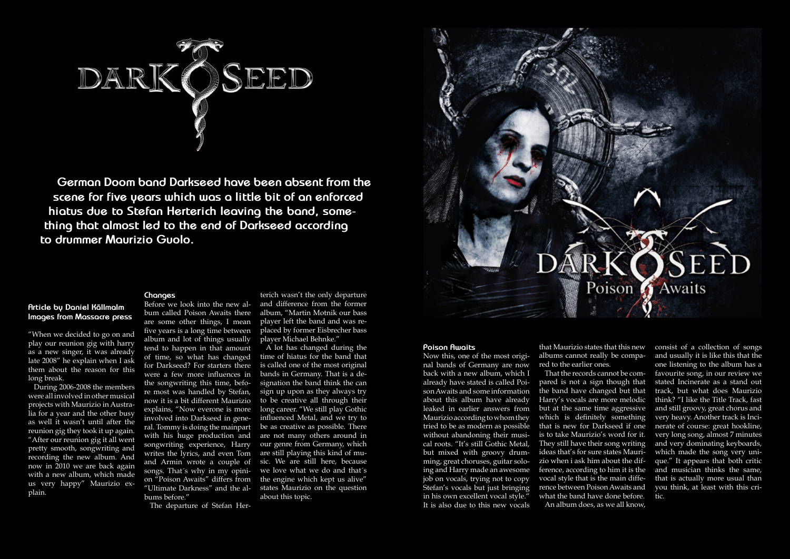

**German Doom band Darkseed have been absent from the scene for five years which was a little bit of an enforced hiatus due to Stefan Herterich leaving the band, something that almost led to the end of Darkseed according to drummer Maurizio Guolo.**

**Article by Daniel Källmalm Images from Massacre press**

"When we decided to go on and play our reunion gig with harry as a new singer, it was already late 2008" he explain when I ask them about the reason for this long break.

During 2006-2008 the members were all involved in other musical projects with Maurizio in Australia for a year and the other busy as well it wasn't until after the reunion gig they took it up again. "After our reunion gig it all went pretty smooth, songwriting and recording the new album. And now in 2010 we are back again with a new album, which made us very happy" Maurizio explain.

## **Changes**

Before we look into the new al-

bum called Poison Awaits there are some other things, I mean five years is a long time between album and lot of things usually tend to happen in that amount of time, so what has changed for Darkseed? For starters there were a few more influences in the songwriting this time, before most was handled by Stefan, now it is a bit different Maurizio explains, "Now everone is more involved into Darkseed in general. Tommy is doing the mainpart with his huge production and songwriting experience, Harry writes the lyrics, and even Tom and Armin wrote a couple of songs. That´s why in my opinion "Poison Awaits" differs from "Ultimate Darkness" and the albums before."

The departure of Stefan Her-

terich wasn't the only departure and difference from the former album, "Martin Motnik our bass player left the band and was replaced by former Eisbrecher bass player Michael Behnke."

A lot has changed during the time of hiatus for the band that is called one of the most original bands in Germany. That is a designation the band think the can sign up upon as they always try to be creative all through their long career. "We still play Gothic influenced Metal, and we try to be as creative as possible. There are not many others around in our genre from Germany, which are still playing this kind of music. We are still here, because we love what we do and that´s the engine which kept us alive" states Maurizio on the question about this topic.



## **Poison Awaits**

Now this, one of the most original bands of Germany are now back with a new album, which I already have stated is called Poison Awaits and some information about this album have already leaked in earlier answers from Maurizio according to whom they tried to be as modern as possible without abandoning their musical roots. "It's still Gothic Metal, but mixed with groovy drumming, great choruses, guitar soloing and Harry made an awesome job on vocals, trying not to copy Stefan's vocals but just bringing in his own excellent vocal style." It is also due to this new vocals

albums cannot really be compared to the earlier ones.

That the records cannot be compared is not a sign though that the band have changed but that Harry's vocals are more melodic but at the same time aggressive which is definitely something that is new for Darkseed if one is to take Maurizio's word for it. They still have their song writing ideas that's for sure states Maurizio when i ask him about the difference, according to him it is the vocal style that is the main difference between Poison Awaits and what the band have done before. An album does, as we all know,

that Maurizio states that this new consist of a collection of songs and usually it is like this that the one listening to the album has a favourite song, in our review we stated Incinerate as a stand out track, but what does Maurizio think? "I like the Title Track, fast and still groovy, great chorus and very heavy. Another track is Incinerate of course: great hookline, very long song, almost 7 minutes and very dominating keyboards, which made the song very unique." It appears that both critic and musician thinks the same, that is actually more usual than you think, at least with this critic.